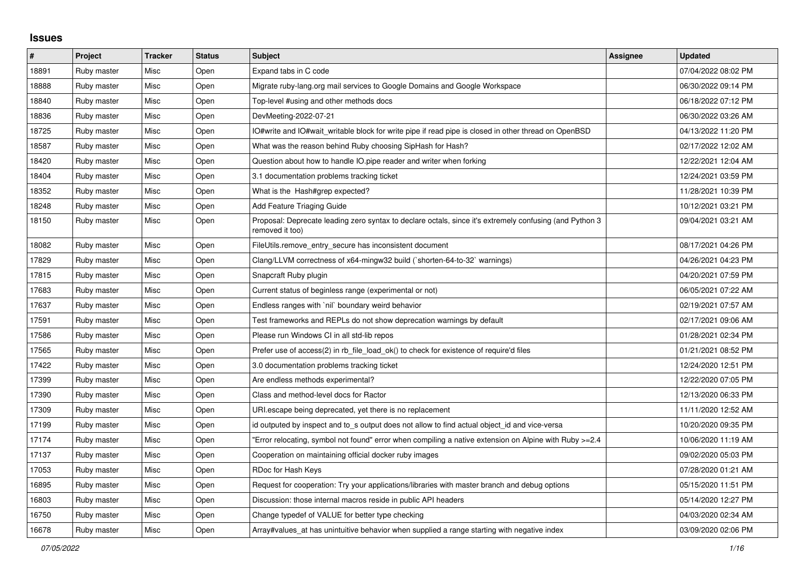## **Issues**

| #     | Project     | <b>Tracker</b> | <b>Status</b> | <b>Subject</b>                                                                                                             | <b>Assignee</b> | <b>Updated</b>      |
|-------|-------------|----------------|---------------|----------------------------------------------------------------------------------------------------------------------------|-----------------|---------------------|
| 18891 | Ruby master | Misc           | Open          | Expand tabs in C code                                                                                                      |                 | 07/04/2022 08:02 PM |
| 18888 | Ruby master | Misc           | Open          | Migrate ruby-lang.org mail services to Google Domains and Google Workspace                                                 |                 | 06/30/2022 09:14 PM |
| 18840 | Ruby master | Misc           | Open          | Top-level #using and other methods docs                                                                                    |                 | 06/18/2022 07:12 PM |
| 18836 | Ruby master | Misc           | Open          | DevMeeting-2022-07-21                                                                                                      |                 | 06/30/2022 03:26 AM |
| 18725 | Ruby master | Misc           | Open          | IO#write and IO#wait writable block for write pipe if read pipe is closed in other thread on OpenBSD                       |                 | 04/13/2022 11:20 PM |
| 18587 | Ruby master | Misc           | Open          | What was the reason behind Ruby choosing SipHash for Hash?                                                                 |                 | 02/17/2022 12:02 AM |
| 18420 | Ruby master | Misc           | Open          | Question about how to handle IO.pipe reader and writer when forking                                                        |                 | 12/22/2021 12:04 AM |
| 18404 | Ruby master | Misc           | Open          | 3.1 documentation problems tracking ticket                                                                                 |                 | 12/24/2021 03:59 PM |
| 18352 | Ruby master | Misc           | Open          | What is the Hash#grep expected?                                                                                            |                 | 11/28/2021 10:39 PM |
| 18248 | Ruby master | Misc           | Open          | Add Feature Triaging Guide                                                                                                 |                 | 10/12/2021 03:21 PM |
| 18150 | Ruby master | Misc           | Open          | Proposal: Deprecate leading zero syntax to declare octals, since it's extremely confusing (and Python 3<br>removed it too) |                 | 09/04/2021 03:21 AM |
| 18082 | Ruby master | Misc           | Open          | FileUtils.remove_entry_secure has inconsistent document                                                                    |                 | 08/17/2021 04:26 PM |
| 17829 | Ruby master | Misc           | Open          | Clang/LLVM correctness of x64-mingw32 build (`shorten-64-to-32` warnings)                                                  |                 | 04/26/2021 04:23 PM |
| 17815 | Ruby master | Misc           | Open          | Snapcraft Ruby plugin                                                                                                      |                 | 04/20/2021 07:59 PM |
| 17683 | Ruby master | <b>Misc</b>    | Open          | Current status of beginless range (experimental or not)                                                                    |                 | 06/05/2021 07:22 AM |
| 17637 | Ruby master | Misc           | Open          | Endless ranges with `nil` boundary weird behavior                                                                          |                 | 02/19/2021 07:57 AM |
| 17591 | Ruby master | Misc           | Open          | Test frameworks and REPLs do not show deprecation warnings by default                                                      |                 | 02/17/2021 09:06 AM |
| 17586 | Ruby master | Misc           | Open          | Please run Windows CI in all std-lib repos                                                                                 |                 | 01/28/2021 02:34 PM |
| 17565 | Ruby master | Misc           | Open          | Prefer use of access(2) in rb file load ok() to check for existence of require'd files                                     |                 | 01/21/2021 08:52 PM |
| 17422 | Ruby master | Misc           | Open          | 3.0 documentation problems tracking ticket                                                                                 |                 | 12/24/2020 12:51 PM |
| 17399 | Ruby master | Misc           | Open          | Are endless methods experimental?                                                                                          |                 | 12/22/2020 07:05 PM |
| 17390 | Ruby master | Misc           | Open          | Class and method-level docs for Ractor                                                                                     |                 | 12/13/2020 06:33 PM |
| 17309 | Ruby master | Misc           | Open          | URI escape being deprecated, yet there is no replacement                                                                   |                 | 11/11/2020 12:52 AM |
| 17199 | Ruby master | Misc           | Open          | id outputed by inspect and to_s output does not allow to find actual object_id and vice-versa                              |                 | 10/20/2020 09:35 PM |
| 17174 | Ruby master | Misc           | Open          | Error relocating, symbol not found" error when compiling a native extension on Alpine with Ruby >=2.4                      |                 | 10/06/2020 11:19 AM |
| 17137 | Ruby master | Misc           | Open          | Cooperation on maintaining official docker ruby images                                                                     |                 | 09/02/2020 05:03 PM |
| 17053 | Ruby master | Misc           | Open          | RDoc for Hash Keys                                                                                                         |                 | 07/28/2020 01:21 AM |
| 16895 | Ruby master | Misc           | Open          | Request for cooperation: Try your applications/libraries with master branch and debug options                              |                 | 05/15/2020 11:51 PM |
| 16803 | Ruby master | Misc           | Open          | Discussion: those internal macros reside in public API headers                                                             |                 | 05/14/2020 12:27 PM |
| 16750 | Ruby master | Misc           | Open          | Change typedef of VALUE for better type checking                                                                           |                 | 04/03/2020 02:34 AM |
| 16678 | Ruby master | Misc           | Open          | Array#values at has unintuitive behavior when supplied a range starting with negative index                                |                 | 03/09/2020 02:06 PM |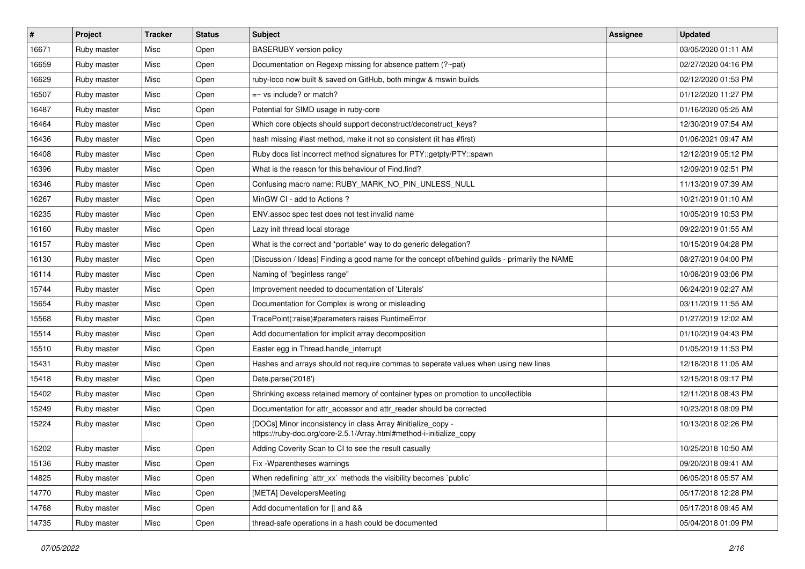| $\vert$ # | <b>Project</b> | <b>Tracker</b> | <b>Status</b> | Subject                                                                                                                             | <b>Assignee</b> | <b>Updated</b>      |
|-----------|----------------|----------------|---------------|-------------------------------------------------------------------------------------------------------------------------------------|-----------------|---------------------|
| 16671     | Ruby master    | Misc           | Open          | <b>BASERUBY</b> version policy                                                                                                      |                 | 03/05/2020 01:11 AM |
| 16659     | Ruby master    | Misc           | Open          | Documentation on Regexp missing for absence pattern (?~pat)                                                                         |                 | 02/27/2020 04:16 PM |
| 16629     | Ruby master    | Misc           | Open          | ruby-loco now built & saved on GitHub, both mingw & mswin builds                                                                    |                 | 02/12/2020 01:53 PM |
| 16507     | Ruby master    | Misc           | Open          | $=$ vs include? or match?                                                                                                           |                 | 01/12/2020 11:27 PM |
| 16487     | Ruby master    | Misc           | Open          | Potential for SIMD usage in ruby-core                                                                                               |                 | 01/16/2020 05:25 AM |
| 16464     | Ruby master    | Misc           | Open          | Which core objects should support deconstruct/deconstruct_keys?                                                                     |                 | 12/30/2019 07:54 AM |
| 16436     | Ruby master    | Misc           | Open          | hash missing #last method, make it not so consistent (it has #first)                                                                |                 | 01/06/2021 09:47 AM |
| 16408     | Ruby master    | Misc           | Open          | Ruby docs list incorrect method signatures for PTY::getpty/PTY::spawn                                                               |                 | 12/12/2019 05:12 PM |
| 16396     | Ruby master    | Misc           | Open          | What is the reason for this behaviour of Find.find?                                                                                 |                 | 12/09/2019 02:51 PM |
| 16346     | Ruby master    | Misc           | Open          | Confusing macro name: RUBY_MARK_NO_PIN_UNLESS_NULL                                                                                  |                 | 11/13/2019 07:39 AM |
| 16267     | Ruby master    | Misc           | Open          | MinGW CI - add to Actions?                                                                                                          |                 | 10/21/2019 01:10 AM |
| 16235     | Ruby master    | Misc           | Open          | ENV assoc spec test does not test invalid name                                                                                      |                 | 10/05/2019 10:53 PM |
| 16160     | Ruby master    | Misc           | Open          | Lazy init thread local storage                                                                                                      |                 | 09/22/2019 01:55 AM |
| 16157     | Ruby master    | Misc           | Open          | What is the correct and *portable* way to do generic delegation?                                                                    |                 | 10/15/2019 04:28 PM |
| 16130     | Ruby master    | Misc           | Open          | [Discussion / Ideas] Finding a good name for the concept of/behind guilds - primarily the NAME                                      |                 | 08/27/2019 04:00 PM |
| 16114     | Ruby master    | Misc           | Open          | Naming of "beginless range"                                                                                                         |                 | 10/08/2019 03:06 PM |
| 15744     | Ruby master    | Misc           | Open          | Improvement needed to documentation of 'Literals'                                                                                   |                 | 06/24/2019 02:27 AM |
| 15654     | Ruby master    | Misc           | Open          | Documentation for Complex is wrong or misleading                                                                                    |                 | 03/11/2019 11:55 AM |
| 15568     | Ruby master    | Misc           | Open          | TracePoint(:raise)#parameters raises RuntimeError                                                                                   |                 | 01/27/2019 12:02 AM |
| 15514     | Ruby master    | Misc           | Open          | Add documentation for implicit array decomposition                                                                                  |                 | 01/10/2019 04:43 PM |
| 15510     | Ruby master    | Misc           | Open          | Easter egg in Thread.handle_interrupt                                                                                               |                 | 01/05/2019 11:53 PM |
| 15431     | Ruby master    | Misc           | Open          | Hashes and arrays should not require commas to seperate values when using new lines                                                 |                 | 12/18/2018 11:05 AM |
| 15418     | Ruby master    | Misc           | Open          | Date.parse('2018')                                                                                                                  |                 | 12/15/2018 09:17 PM |
| 15402     | Ruby master    | Misc           | Open          | Shrinking excess retained memory of container types on promotion to uncollectible                                                   |                 | 12/11/2018 08:43 PM |
| 15249     | Ruby master    | Misc           | Open          | Documentation for attr_accessor and attr_reader should be corrected                                                                 |                 | 10/23/2018 08:09 PM |
| 15224     | Ruby master    | Misc           | Open          | [DOCs] Minor inconsistency in class Array #initialize_copy -<br>https://ruby-doc.org/core-2.5.1/Array.html#method-i-initialize_copy |                 | 10/13/2018 02:26 PM |
| 15202     | Ruby master    | Misc           | Open          | Adding Coverity Scan to CI to see the result casually                                                                               |                 | 10/25/2018 10:50 AM |
| 15136     | Ruby master    | Misc           | Open          | Fix - Wparentheses warnings                                                                                                         |                 | 09/20/2018 09:41 AM |
| 14825     | Ruby master    | Misc           | Open          | When redefining 'attr_xx' methods the visibility becomes 'public'                                                                   |                 | 06/05/2018 05:57 AM |
| 14770     | Ruby master    | Misc           | Open          | [META] DevelopersMeeting                                                                                                            |                 | 05/17/2018 12:28 PM |
| 14768     | Ruby master    | Misc           | Open          | Add documentation for    and &&                                                                                                     |                 | 05/17/2018 09:45 AM |
| 14735     | Ruby master    | Misc           | Open          | thread-safe operations in a hash could be documented                                                                                |                 | 05/04/2018 01:09 PM |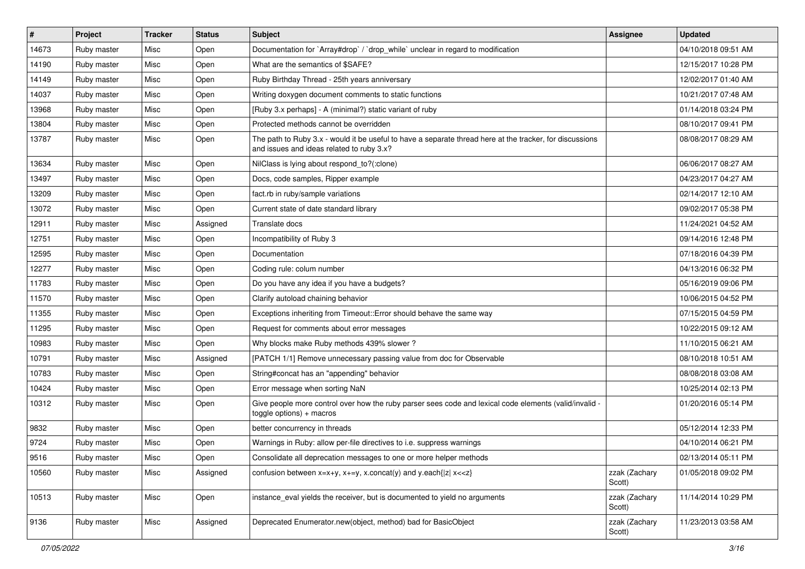| $\vert$ # | Project     | <b>Tracker</b> | <b>Status</b> | Subject                                                                                                                                               | <b>Assignee</b>         | <b>Updated</b>      |
|-----------|-------------|----------------|---------------|-------------------------------------------------------------------------------------------------------------------------------------------------------|-------------------------|---------------------|
| 14673     | Ruby master | Misc           | Open          | Documentation for `Array#drop` / `drop_while` unclear in regard to modification                                                                       |                         | 04/10/2018 09:51 AM |
| 14190     | Ruby master | Misc           | Open          | What are the semantics of \$SAFE?                                                                                                                     |                         | 12/15/2017 10:28 PM |
| 14149     | Ruby master | Misc           | Open          | Ruby Birthday Thread - 25th years anniversary                                                                                                         |                         | 12/02/2017 01:40 AM |
| 14037     | Ruby master | Misc           | Open          | Writing doxygen document comments to static functions                                                                                                 |                         | 10/21/2017 07:48 AM |
| 13968     | Ruby master | Misc           | Open          | [Ruby 3.x perhaps] - A (minimal?) static variant of ruby                                                                                              |                         | 01/14/2018 03:24 PM |
| 13804     | Ruby master | Misc           | Open          | Protected methods cannot be overridden                                                                                                                |                         | 08/10/2017 09:41 PM |
| 13787     | Ruby master | Misc           | Open          | The path to Ruby 3.x - would it be useful to have a separate thread here at the tracker, for discussions<br>and issues and ideas related to ruby 3.x? |                         | 08/08/2017 08:29 AM |
| 13634     | Ruby master | Misc           | Open          | NilClass is lying about respond_to?(:clone)                                                                                                           |                         | 06/06/2017 08:27 AM |
| 13497     | Ruby master | Misc           | Open          | Docs, code samples, Ripper example                                                                                                                    |                         | 04/23/2017 04:27 AM |
| 13209     | Ruby master | Misc           | Open          | fact.rb in ruby/sample variations                                                                                                                     |                         | 02/14/2017 12:10 AM |
| 13072     | Ruby master | Misc           | Open          | Current state of date standard library                                                                                                                |                         | 09/02/2017 05:38 PM |
| 12911     | Ruby master | Misc           | Assigned      | Translate docs                                                                                                                                        |                         | 11/24/2021 04:52 AM |
| 12751     | Ruby master | Misc           | Open          | Incompatibility of Ruby 3                                                                                                                             |                         | 09/14/2016 12:48 PM |
| 12595     | Ruby master | Misc           | Open          | Documentation                                                                                                                                         |                         | 07/18/2016 04:39 PM |
| 12277     | Ruby master | Misc           | Open          | Coding rule: colum number                                                                                                                             |                         | 04/13/2016 06:32 PM |
| 11783     | Ruby master | Misc           | Open          | Do you have any idea if you have a budgets?                                                                                                           |                         | 05/16/2019 09:06 PM |
| 11570     | Ruby master | Misc           | Open          | Clarify autoload chaining behavior                                                                                                                    |                         | 10/06/2015 04:52 PM |
| 11355     | Ruby master | Misc           | Open          | Exceptions inheriting from Timeout:: Error should behave the same way                                                                                 |                         | 07/15/2015 04:59 PM |
| 11295     | Ruby master | Misc           | Open          | Request for comments about error messages                                                                                                             |                         | 10/22/2015 09:12 AM |
| 10983     | Ruby master | Misc           | Open          | Why blocks make Ruby methods 439% slower?                                                                                                             |                         | 11/10/2015 06:21 AM |
| 10791     | Ruby master | Misc           | Assigned      | [PATCH 1/1] Remove unnecessary passing value from doc for Observable                                                                                  |                         | 08/10/2018 10:51 AM |
| 10783     | Ruby master | Misc           | Open          | String#concat has an "appending" behavior                                                                                                             |                         | 08/08/2018 03:08 AM |
| 10424     | Ruby master | Misc           | Open          | Error message when sorting NaN                                                                                                                        |                         | 10/25/2014 02:13 PM |
| 10312     | Ruby master | Misc           | Open          | Give people more control over how the ruby parser sees code and lexical code elements (valid/invalid -<br>$toggle$ options) + macros                  |                         | 01/20/2016 05:14 PM |
| 9832      | Ruby master | Misc           | Open          | better concurrency in threads                                                                                                                         |                         | 05/12/2014 12:33 PM |
| 9724      | Ruby master | Misc           | Open          | Warnings in Ruby: allow per-file directives to i.e. suppress warnings                                                                                 |                         | 04/10/2014 06:21 PM |
| 9516      | Ruby master | Misc           | Open          | Consolidate all deprecation messages to one or more helper methods                                                                                    |                         | 02/13/2014 05:11 PM |
| 10560     | Ruby master | Misc           | Assigned      | confusion between $x=x+y$ , $x+=y$ , x.concat(y) and y.each{ z  $x<}$                                                                                 | zzak (Zachary<br>Scott) | 01/05/2018 09:02 PM |
| 10513     | Ruby master | Misc           | Open          | instance eval yields the receiver, but is documented to yield no arguments                                                                            | zzak (Zachary<br>Scott) | 11/14/2014 10:29 PM |
| 9136      | Ruby master | Misc           | Assigned      | Deprecated Enumerator.new(object, method) bad for BasicObject                                                                                         | zzak (Zachary<br>Scott) | 11/23/2013 03:58 AM |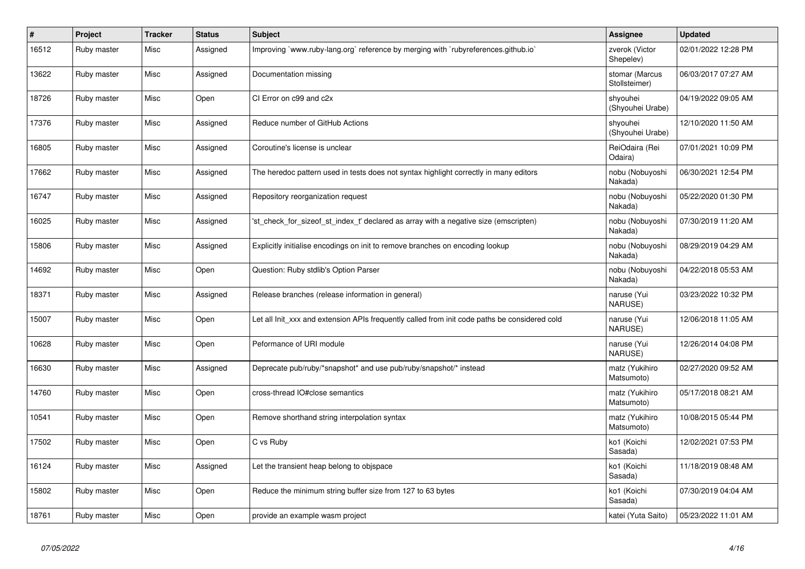| $\vert$ # | Project     | <b>Tracker</b> | <b>Status</b> | <b>Subject</b>                                                                                | Assignee                        | <b>Updated</b>      |
|-----------|-------------|----------------|---------------|-----------------------------------------------------------------------------------------------|---------------------------------|---------------------|
| 16512     | Ruby master | Misc           | Assigned      | Improving `www.ruby-lang.org` reference by merging with `rubyreferences.github.io`            | zverok (Victor<br>Shepelev)     | 02/01/2022 12:28 PM |
| 13622     | Ruby master | Misc           | Assigned      | Documentation missing                                                                         | stomar (Marcus<br>Stollsteimer) | 06/03/2017 07:27 AM |
| 18726     | Ruby master | Misc           | Open          | CI Error on c99 and c2x                                                                       | shvouhei<br>(Shyouhei Urabe)    | 04/19/2022 09:05 AM |
| 17376     | Ruby master | Misc           | Assigned      | Reduce number of GitHub Actions                                                               | shyouhei<br>(Shyouhei Urabe)    | 12/10/2020 11:50 AM |
| 16805     | Ruby master | Misc           | Assigned      | Coroutine's license is unclear                                                                | ReiOdaira (Rei<br>Odaira)       | 07/01/2021 10:09 PM |
| 17662     | Ruby master | Misc           | Assigned      | The heredoc pattern used in tests does not syntax highlight correctly in many editors         | nobu (Nobuyoshi<br>Nakada)      | 06/30/2021 12:54 PM |
| 16747     | Ruby master | Misc           | Assigned      | Repository reorganization request                                                             | nobu (Nobuyoshi<br>Nakada)      | 05/22/2020 01:30 PM |
| 16025     | Ruby master | Misc           | Assigned      | 'st_check_for_sizeof_st_index_t' declared as array with a negative size (emscripten)          | nobu (Nobuyoshi<br>Nakada)      | 07/30/2019 11:20 AM |
| 15806     | Ruby master | Misc           | Assigned      | Explicitly initialise encodings on init to remove branches on encoding lookup                 | nobu (Nobuyoshi<br>Nakada)      | 08/29/2019 04:29 AM |
| 14692     | Ruby master | Misc           | Open          | Question: Ruby stdlib's Option Parser                                                         | nobu (Nobuyoshi<br>Nakada)      | 04/22/2018 05:53 AM |
| 18371     | Ruby master | Misc           | Assigned      | Release branches (release information in general)                                             | naruse (Yui<br>NARUSE)          | 03/23/2022 10:32 PM |
| 15007     | Ruby master | Misc           | Open          | Let all Init xxx and extension APIs frequently called from init code paths be considered cold | naruse (Yui<br>NARUSE)          | 12/06/2018 11:05 AM |
| 10628     | Ruby master | Misc           | Open          | Peformance of URI module                                                                      | naruse (Yui<br>NARUSE)          | 12/26/2014 04:08 PM |
| 16630     | Ruby master | Misc           | Assigned      | Deprecate pub/ruby/*snapshot* and use pub/ruby/snapshot/* instead                             | matz (Yukihiro<br>Matsumoto)    | 02/27/2020 09:52 AM |
| 14760     | Ruby master | Misc           | Open          | cross-thread IO#close semantics                                                               | matz (Yukihiro<br>Matsumoto)    | 05/17/2018 08:21 AM |
| 10541     | Ruby master | Misc           | Open          | Remove shorthand string interpolation syntax                                                  | matz (Yukihiro<br>Matsumoto)    | 10/08/2015 05:44 PM |
| 17502     | Ruby master | Misc           | Open          | C vs Ruby                                                                                     | ko1 (Koichi<br>Sasada)          | 12/02/2021 07:53 PM |
| 16124     | Ruby master | Misc           | Assigned      | Let the transient heap belong to objspace                                                     | ko1 (Koichi<br>Sasada)          | 11/18/2019 08:48 AM |
| 15802     | Ruby master | Misc           | Open          | Reduce the minimum string buffer size from 127 to 63 bytes                                    | ko1 (Koichi<br>Sasada)          | 07/30/2019 04:04 AM |
| 18761     | Ruby master | Misc           | Open          | provide an example wasm project                                                               | katei (Yuta Saito)              | 05/23/2022 11:01 AM |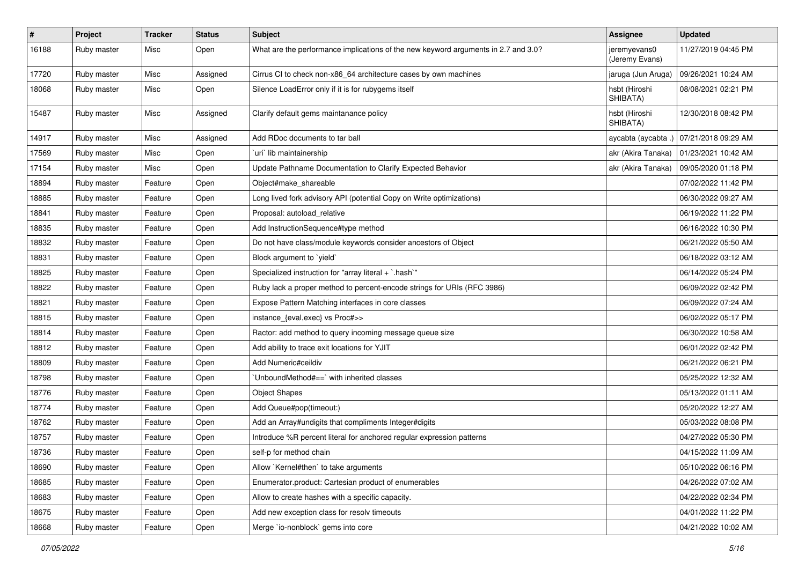| $\vert$ # | Project     | <b>Tracker</b> | <b>Status</b> | Subject                                                                            | Assignee                       | <b>Updated</b>      |
|-----------|-------------|----------------|---------------|------------------------------------------------------------------------------------|--------------------------------|---------------------|
| 16188     | Ruby master | Misc           | Open          | What are the performance implications of the new keyword arguments in 2.7 and 3.0? | jeremyevans0<br>(Jeremy Evans) | 11/27/2019 04:45 PM |
| 17720     | Ruby master | Misc           | Assigned      | Cirrus CI to check non-x86 64 architecture cases by own machines                   | jaruga (Jun Aruga)             | 09/26/2021 10:24 AM |
| 18068     | Ruby master | Misc           | Open          | Silence LoadError only if it is for rubygems itself                                | hsbt (Hiroshi<br>SHIBATA)      | 08/08/2021 02:21 PM |
| 15487     | Ruby master | Misc           | Assigned      | Clarify default gems maintanance policy                                            | hsbt (Hiroshi<br>SHIBATA)      | 12/30/2018 08:42 PM |
| 14917     | Ruby master | Misc           | Assigned      | Add RDoc documents to tar ball                                                     | aycabta (aycabta.)             | 07/21/2018 09:29 AM |
| 17569     | Ruby master | Misc           | Open          | uri lib maintainership                                                             | akr (Akira Tanaka)             | 01/23/2021 10:42 AM |
| 17154     | Ruby master | Misc           | Open          | Update Pathname Documentation to Clarify Expected Behavior                         | akr (Akira Tanaka)             | 09/05/2020 01:18 PM |
| 18894     | Ruby master | Feature        | Open          | Object#make shareable                                                              |                                | 07/02/2022 11:42 PM |
| 18885     | Ruby master | Feature        | Open          | Long lived fork advisory API (potential Copy on Write optimizations)               |                                | 06/30/2022 09:27 AM |
| 18841     | Ruby master | Feature        | Open          | Proposal: autoload_relative                                                        |                                | 06/19/2022 11:22 PM |
| 18835     | Ruby master | Feature        | Open          | Add InstructionSequence#type method                                                |                                | 06/16/2022 10:30 PM |
| 18832     | Ruby master | Feature        | Open          | Do not have class/module keywords consider ancestors of Object                     |                                | 06/21/2022 05:50 AM |
| 18831     | Ruby master | Feature        | Open          | Block argument to 'yield'                                                          |                                | 06/18/2022 03:12 AM |
| 18825     | Ruby master | Feature        | Open          | Specialized instruction for "array literal + `.hash`"                              |                                | 06/14/2022 05:24 PM |
| 18822     | Ruby master | Feature        | Open          | Ruby lack a proper method to percent-encode strings for URIs (RFC 3986)            |                                | 06/09/2022 02:42 PM |
| 18821     | Ruby master | Feature        | Open          | Expose Pattern Matching interfaces in core classes                                 |                                | 06/09/2022 07:24 AM |
| 18815     | Ruby master | Feature        | Open          | instance_{eval,exec} vs Proc#>>                                                    |                                | 06/02/2022 05:17 PM |
| 18814     | Ruby master | Feature        | Open          | Ractor: add method to query incoming message queue size                            |                                | 06/30/2022 10:58 AM |
| 18812     | Ruby master | Feature        | Open          | Add ability to trace exit locations for YJIT                                       |                                | 06/01/2022 02:42 PM |
| 18809     | Ruby master | Feature        | Open          | Add Numeric#ceildiv                                                                |                                | 06/21/2022 06:21 PM |
| 18798     | Ruby master | Feature        | Open          | UnboundMethod#==`with inherited classes                                            |                                | 05/25/2022 12:32 AM |
| 18776     | Ruby master | Feature        | Open          | <b>Object Shapes</b>                                                               |                                | 05/13/2022 01:11 AM |
| 18774     | Ruby master | Feature        | Open          | Add Queue#pop(timeout:)                                                            |                                | 05/20/2022 12:27 AM |
| 18762     | Ruby master | Feature        | Open          | Add an Array#undigits that compliments Integer#digits                              |                                | 05/03/2022 08:08 PM |
| 18757     | Ruby master | Feature        | Open          | Introduce %R percent literal for anchored regular expression patterns              |                                | 04/27/2022 05:30 PM |
| 18736     | Ruby master | Feature        | Open          | self-p for method chain                                                            |                                | 04/15/2022 11:09 AM |
| 18690     | Ruby master | Feature        | Open          | Allow `Kernel#then` to take arguments                                              |                                | 05/10/2022 06:16 PM |
| 18685     | Ruby master | Feature        | Open          | Enumerator.product: Cartesian product of enumerables                               |                                | 04/26/2022 07:02 AM |
| 18683     | Ruby master | Feature        | Open          | Allow to create hashes with a specific capacity.                                   |                                | 04/22/2022 02:34 PM |
| 18675     | Ruby master | Feature        | Open          | Add new exception class for resolv timeouts                                        |                                | 04/01/2022 11:22 PM |
| 18668     | Ruby master | Feature        | Open          | Merge `io-nonblock` gems into core                                                 |                                | 04/21/2022 10:02 AM |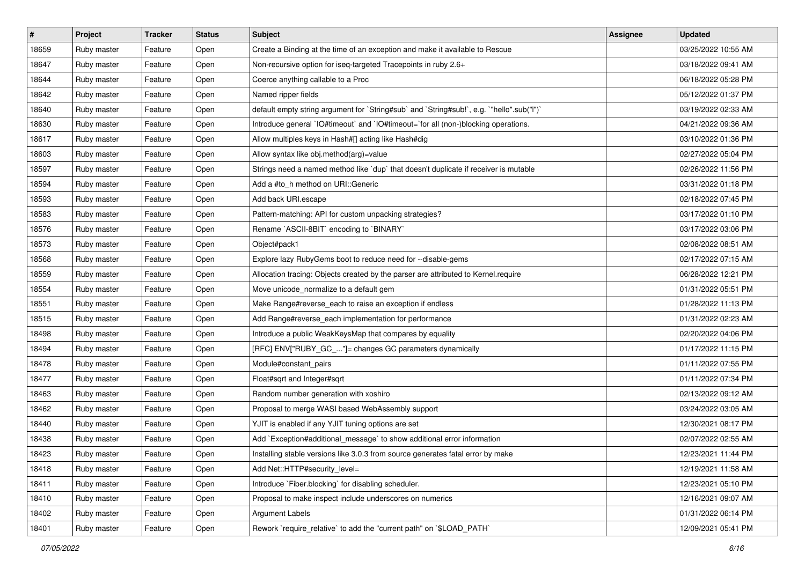| $\vert$ # | Project     | <b>Tracker</b> | <b>Status</b> | Subject                                                                                   | <b>Assignee</b> | <b>Updated</b>      |
|-----------|-------------|----------------|---------------|-------------------------------------------------------------------------------------------|-----------------|---------------------|
| 18659     | Ruby master | Feature        | Open          | Create a Binding at the time of an exception and make it available to Rescue              |                 | 03/25/2022 10:55 AM |
| 18647     | Ruby master | Feature        | Open          | Non-recursive option for iseq-targeted Tracepoints in ruby 2.6+                           |                 | 03/18/2022 09:41 AM |
| 18644     | Ruby master | Feature        | Open          | Coerce anything callable to a Proc                                                        |                 | 06/18/2022 05:28 PM |
| 18642     | Ruby master | Feature        | Open          | Named ripper fields                                                                       |                 | 05/12/2022 01:37 PM |
| 18640     | Ruby master | Feature        | Open          | default empty string argument for `String#sub` and `String#sub!`, e.g. `"hello".sub("I")` |                 | 03/19/2022 02:33 AM |
| 18630     | Ruby master | Feature        | Open          | Introduce general `IO#timeout` and `IO#timeout=`for all (non-)blocking operations.        |                 | 04/21/2022 09:36 AM |
| 18617     | Ruby master | Feature        | Open          | Allow multiples keys in Hash#[] acting like Hash#dig                                      |                 | 03/10/2022 01:36 PM |
| 18603     | Ruby master | Feature        | Open          | Allow syntax like obj.method(arg)=value                                                   |                 | 02/27/2022 05:04 PM |
| 18597     | Ruby master | Feature        | Open          | Strings need a named method like `dup` that doesn't duplicate if receiver is mutable      |                 | 02/26/2022 11:56 PM |
| 18594     | Ruby master | Feature        | Open          | Add a #to_h method on URI::Generic                                                        |                 | 03/31/2022 01:18 PM |
| 18593     | Ruby master | Feature        | Open          | Add back URI.escape                                                                       |                 | 02/18/2022 07:45 PM |
| 18583     | Ruby master | Feature        | Open          | Pattern-matching: API for custom unpacking strategies?                                    |                 | 03/17/2022 01:10 PM |
| 18576     | Ruby master | Feature        | Open          | Rename `ASCII-8BIT` encoding to `BINARY`                                                  |                 | 03/17/2022 03:06 PM |
| 18573     | Ruby master | Feature        | Open          | Object#pack1                                                                              |                 | 02/08/2022 08:51 AM |
| 18568     | Ruby master | Feature        | Open          | Explore lazy RubyGems boot to reduce need for --disable-gems                              |                 | 02/17/2022 07:15 AM |
| 18559     | Ruby master | Feature        | Open          | Allocation tracing: Objects created by the parser are attributed to Kernel.require        |                 | 06/28/2022 12:21 PM |
| 18554     | Ruby master | Feature        | Open          | Move unicode_normalize to a default gem                                                   |                 | 01/31/2022 05:51 PM |
| 18551     | Ruby master | Feature        | Open          | Make Range#reverse_each to raise an exception if endless                                  |                 | 01/28/2022 11:13 PM |
| 18515     | Ruby master | Feature        | Open          | Add Range#reverse_each implementation for performance                                     |                 | 01/31/2022 02:23 AM |
| 18498     | Ruby master | Feature        | Open          | Introduce a public WeakKeysMap that compares by equality                                  |                 | 02/20/2022 04:06 PM |
| 18494     | Ruby master | Feature        | Open          | [RFC] ENV["RUBY_GC_"]= changes GC parameters dynamically                                  |                 | 01/17/2022 11:15 PM |
| 18478     | Ruby master | Feature        | Open          | Module#constant_pairs                                                                     |                 | 01/11/2022 07:55 PM |
| 18477     | Ruby master | Feature        | Open          | Float#sqrt and Integer#sqrt                                                               |                 | 01/11/2022 07:34 PM |
| 18463     | Ruby master | Feature        | Open          | Random number generation with xoshiro                                                     |                 | 02/13/2022 09:12 AM |
| 18462     | Ruby master | Feature        | Open          | Proposal to merge WASI based WebAssembly support                                          |                 | 03/24/2022 03:05 AM |
| 18440     | Ruby master | Feature        | Open          | YJIT is enabled if any YJIT tuning options are set                                        |                 | 12/30/2021 08:17 PM |
| 18438     | Ruby master | Feature        | Open          | Add `Exception#additional_message` to show additional error information                   |                 | 02/07/2022 02:55 AM |
| 18423     | Ruby master | Feature        | Open          | Installing stable versions like 3.0.3 from source generates fatal error by make           |                 | 12/23/2021 11:44 PM |
| 18418     | Ruby master | Feature        | Open          | Add Net::HTTP#security level=                                                             |                 | 12/19/2021 11:58 AM |
| 18411     | Ruby master | Feature        | Open          | Introduce `Fiber.blocking` for disabling scheduler.                                       |                 | 12/23/2021 05:10 PM |
| 18410     | Ruby master | Feature        | Open          | Proposal to make inspect include underscores on numerics                                  |                 | 12/16/2021 09:07 AM |
| 18402     | Ruby master | Feature        | Open          | Argument Labels                                                                           |                 | 01/31/2022 06:14 PM |
| 18401     | Ruby master | Feature        | Open          | Rework `require relative` to add the "current path" on `\$LOAD PATH`                      |                 | 12/09/2021 05:41 PM |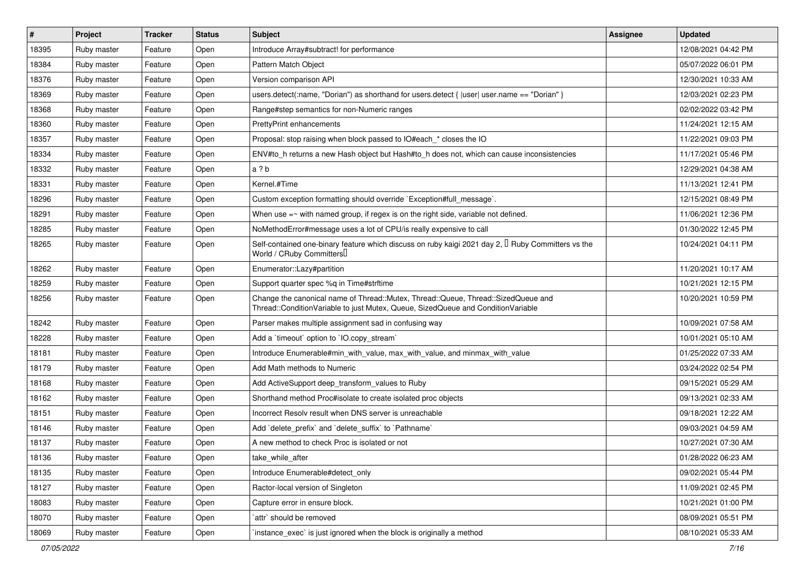| $\vert$ # | Project     | <b>Tracker</b> | <b>Status</b> | <b>Subject</b>                                                                                                                                                        | Assignee | <b>Updated</b>      |
|-----------|-------------|----------------|---------------|-----------------------------------------------------------------------------------------------------------------------------------------------------------------------|----------|---------------------|
| 18395     | Ruby master | Feature        | Open          | Introduce Array#subtract! for performance                                                                                                                             |          | 12/08/2021 04:42 PM |
| 18384     | Ruby master | Feature        | Open          | Pattern Match Object                                                                                                                                                  |          | 05/07/2022 06:01 PM |
| 18376     | Ruby master | Feature        | Open          | Version comparison API                                                                                                                                                |          | 12/30/2021 10:33 AM |
| 18369     | Ruby master | Feature        | Open          | users.detect(:name, "Dorian") as shorthand for users.detect {  user  user.name == "Dorian" }                                                                          |          | 12/03/2021 02:23 PM |
| 18368     | Ruby master | Feature        | Open          | Range#step semantics for non-Numeric ranges                                                                                                                           |          | 02/02/2022 03:42 PM |
| 18360     | Ruby master | Feature        | Open          | <b>PrettyPrint enhancements</b>                                                                                                                                       |          | 11/24/2021 12:15 AM |
| 18357     | Ruby master | Feature        | Open          | Proposal: stop raising when block passed to IO#each * closes the IO                                                                                                   |          | 11/22/2021 09:03 PM |
| 18334     | Ruby master | Feature        | Open          | ENV#to_h returns a new Hash object but Hash#to_h does not, which can cause inconsistencies                                                                            |          | 11/17/2021 05:46 PM |
| 18332     | Ruby master | Feature        | Open          | a ? b                                                                                                                                                                 |          | 12/29/2021 04:38 AM |
| 18331     | Ruby master | Feature        | Open          | Kernel.#Time                                                                                                                                                          |          | 11/13/2021 12:41 PM |
| 18296     | Ruby master | Feature        | Open          | Custom exception formatting should override `Exception#full_message`.                                                                                                 |          | 12/15/2021 08:49 PM |
| 18291     | Ruby master | Feature        | Open          | When use $=\sim$ with named group, if regex is on the right side, variable not defined.                                                                               |          | 11/06/2021 12:36 PM |
| 18285     | Ruby master | Feature        | Open          | NoMethodError#message uses a lot of CPU/is really expensive to call                                                                                                   |          | 01/30/2022 12:45 PM |
| 18265     | Ruby master | Feature        | Open          | Self-contained one-binary feature which discuss on ruby kaigi 2021 day 2, $\Box$ Ruby Committers vs the<br>World / CRuby Committers                                   |          | 10/24/2021 04:11 PM |
| 18262     | Ruby master | Feature        | Open          | Enumerator::Lazy#partition                                                                                                                                            |          | 11/20/2021 10:17 AM |
| 18259     | Ruby master | Feature        | Open          | Support quarter spec %q in Time#strftime                                                                                                                              |          | 10/21/2021 12:15 PM |
| 18256     | Ruby master | Feature        | Open          | Change the canonical name of Thread::Mutex, Thread::Queue, Thread::SizedQueue and<br>Thread::ConditionVariable to just Mutex, Queue, SizedQueue and ConditionVariable |          | 10/20/2021 10:59 PM |
| 18242     | Ruby master | Feature        | Open          | Parser makes multiple assignment sad in confusing way                                                                                                                 |          | 10/09/2021 07:58 AM |
| 18228     | Ruby master | Feature        | Open          | Add a 'timeout' option to 'IO.copy_stream'                                                                                                                            |          | 10/01/2021 05:10 AM |
| 18181     | Ruby master | Feature        | Open          | Introduce Enumerable#min_with_value, max_with_value, and minmax_with_value                                                                                            |          | 01/25/2022 07:33 AM |
| 18179     | Ruby master | Feature        | Open          | Add Math methods to Numeric                                                                                                                                           |          | 03/24/2022 02:54 PM |
| 18168     | Ruby master | Feature        | Open          | Add ActiveSupport deep_transform_values to Ruby                                                                                                                       |          | 09/15/2021 05:29 AM |
| 18162     | Ruby master | Feature        | Open          | Shorthand method Proc#isolate to create isolated proc objects                                                                                                         |          | 09/13/2021 02:33 AM |
| 18151     | Ruby master | Feature        | Open          | Incorrect Resoly result when DNS server is unreachable                                                                                                                |          | 09/18/2021 12:22 AM |
| 18146     | Ruby master | Feature        | Open          | Add 'delete prefix' and 'delete suffix' to 'Pathname'                                                                                                                 |          | 09/03/2021 04:59 AM |
| 18137     | Ruby master | Feature        | Open          | A new method to check Proc is isolated or not                                                                                                                         |          | 10/27/2021 07:30 AM |
| 18136     | Ruby master | Feature        | Open          | take_while_after                                                                                                                                                      |          | 01/28/2022 06:23 AM |
| 18135     | Ruby master | Feature        | Open          | Introduce Enumerable#detect_only                                                                                                                                      |          | 09/02/2021 05:44 PM |
| 18127     | Ruby master | Feature        | Open          | Ractor-local version of Singleton                                                                                                                                     |          | 11/09/2021 02:45 PM |
| 18083     | Ruby master | Feature        | Open          | Capture error in ensure block.                                                                                                                                        |          | 10/21/2021 01:00 PM |
| 18070     | Ruby master | Feature        | Open          | attr` should be removed                                                                                                                                               |          | 08/09/2021 05:51 PM |
| 18069     | Ruby master | Feature        | Open          | instance_exec` is just ignored when the block is originally a method                                                                                                  |          | 08/10/2021 05:33 AM |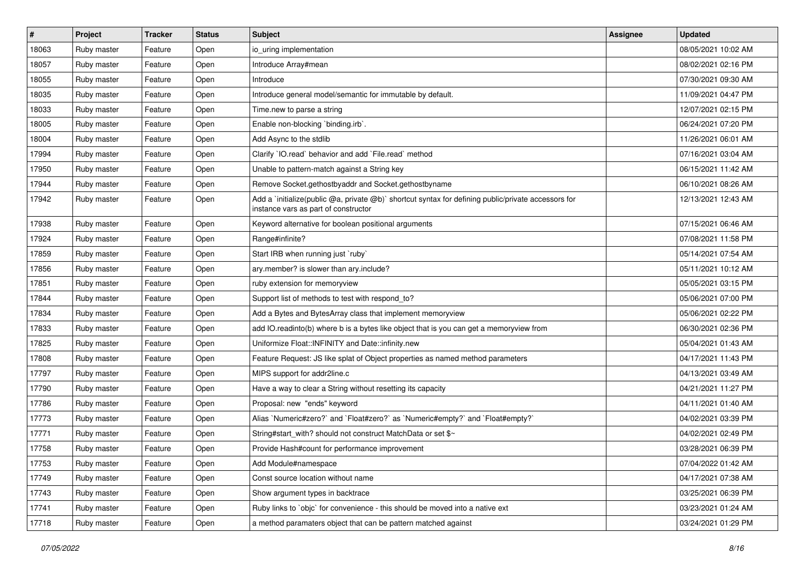| $\vert$ # | Project     | <b>Tracker</b> | <b>Status</b> | Subject                                                                                                                                     | <b>Assignee</b> | <b>Updated</b>      |
|-----------|-------------|----------------|---------------|---------------------------------------------------------------------------------------------------------------------------------------------|-----------------|---------------------|
| 18063     | Ruby master | Feature        | Open          | io_uring implementation                                                                                                                     |                 | 08/05/2021 10:02 AM |
| 18057     | Ruby master | Feature        | Open          | Introduce Array#mean                                                                                                                        |                 | 08/02/2021 02:16 PM |
| 18055     | Ruby master | Feature        | Open          | Introduce                                                                                                                                   |                 | 07/30/2021 09:30 AM |
| 18035     | Ruby master | Feature        | Open          | Introduce general model/semantic for immutable by default.                                                                                  |                 | 11/09/2021 04:47 PM |
| 18033     | Ruby master | Feature        | Open          | Time.new to parse a string                                                                                                                  |                 | 12/07/2021 02:15 PM |
| 18005     | Ruby master | Feature        | Open          | Enable non-blocking `binding.irb`.                                                                                                          |                 | 06/24/2021 07:20 PM |
| 18004     | Ruby master | Feature        | Open          | Add Async to the stdlib                                                                                                                     |                 | 11/26/2021 06:01 AM |
| 17994     | Ruby master | Feature        | Open          | Clarify `IO.read` behavior and add `File.read` method                                                                                       |                 | 07/16/2021 03:04 AM |
| 17950     | Ruby master | Feature        | Open          | Unable to pattern-match against a String key                                                                                                |                 | 06/15/2021 11:42 AM |
| 17944     | Ruby master | Feature        | Open          | Remove Socket.gethostbyaddr and Socket.gethostbyname                                                                                        |                 | 06/10/2021 08:26 AM |
| 17942     | Ruby master | Feature        | Open          | Add a `initialize(public @a, private @b)` shortcut syntax for defining public/private accessors for<br>instance vars as part of constructor |                 | 12/13/2021 12:43 AM |
| 17938     | Ruby master | Feature        | Open          | Keyword alternative for boolean positional arguments                                                                                        |                 | 07/15/2021 06:46 AM |
| 17924     | Ruby master | Feature        | Open          | Range#infinite?                                                                                                                             |                 | 07/08/2021 11:58 PM |
| 17859     | Ruby master | Feature        | Open          | Start IRB when running just `ruby`                                                                                                          |                 | 05/14/2021 07:54 AM |
| 17856     | Ruby master | Feature        | Open          | ary.member? is slower than ary.include?                                                                                                     |                 | 05/11/2021 10:12 AM |
| 17851     | Ruby master | Feature        | Open          | ruby extension for memoryview                                                                                                               |                 | 05/05/2021 03:15 PM |
| 17844     | Ruby master | Feature        | Open          | Support list of methods to test with respond_to?                                                                                            |                 | 05/06/2021 07:00 PM |
| 17834     | Ruby master | Feature        | Open          | Add a Bytes and BytesArray class that implement memoryview                                                                                  |                 | 05/06/2021 02:22 PM |
| 17833     | Ruby master | Feature        | Open          | add IO.readinto(b) where b is a bytes like object that is you can get a memoryview from                                                     |                 | 06/30/2021 02:36 PM |
| 17825     | Ruby master | Feature        | Open          | Uniformize Float::INFINITY and Date::infinity.new                                                                                           |                 | 05/04/2021 01:43 AM |
| 17808     | Ruby master | Feature        | Open          | Feature Request: JS like splat of Object properties as named method parameters                                                              |                 | 04/17/2021 11:43 PM |
| 17797     | Ruby master | Feature        | Open          | MIPS support for addr2line.c                                                                                                                |                 | 04/13/2021 03:49 AM |
| 17790     | Ruby master | Feature        | Open          | Have a way to clear a String without resetting its capacity                                                                                 |                 | 04/21/2021 11:27 PM |
| 17786     | Ruby master | Feature        | Open          | Proposal: new "ends" keyword                                                                                                                |                 | 04/11/2021 01:40 AM |
| 17773     | Ruby master | Feature        | Open          | Alias `Numeric#zero?` and `Float#zero?` as `Numeric#empty?` and `Float#empty?`                                                              |                 | 04/02/2021 03:39 PM |
| 17771     | Ruby master | Feature        | Open          | String#start_with? should not construct MatchData or set \$~                                                                                |                 | 04/02/2021 02:49 PM |
| 17758     | Ruby master | Feature        | Open          | Provide Hash#count for performance improvement                                                                                              |                 | 03/28/2021 06:39 PM |
| 17753     | Ruby master | Feature        | Open          | Add Module#namespace                                                                                                                        |                 | 07/04/2022 01:42 AM |
| 17749     | Ruby master | Feature        | Open          | Const source location without name                                                                                                          |                 | 04/17/2021 07:38 AM |
| 17743     | Ruby master | Feature        | Open          | Show argument types in backtrace                                                                                                            |                 | 03/25/2021 06:39 PM |
| 17741     | Ruby master | Feature        | Open          | Ruby links to `objc` for convenience - this should be moved into a native ext                                                               |                 | 03/23/2021 01:24 AM |
| 17718     | Ruby master | Feature        | Open          | a method paramaters object that can be pattern matched against                                                                              |                 | 03/24/2021 01:29 PM |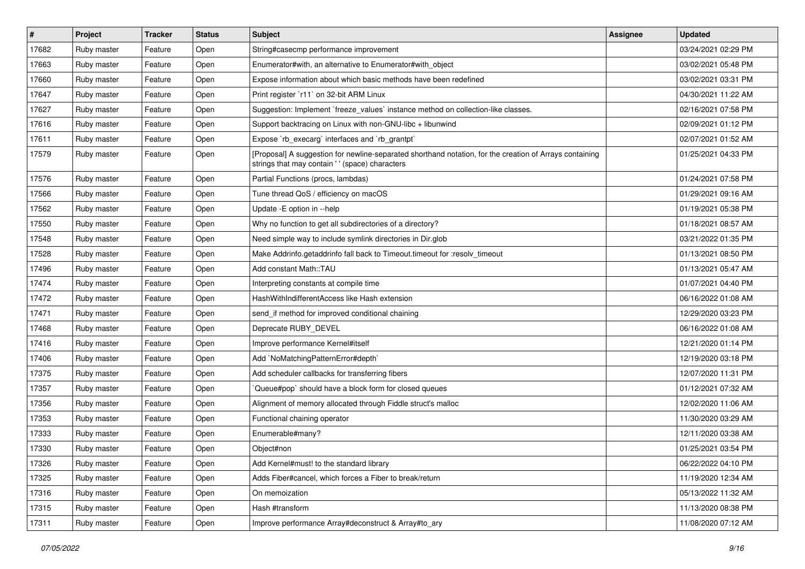| $\vert$ # | Project     | <b>Tracker</b> | <b>Status</b> | <b>Subject</b>                                                                                                                                             | <b>Assignee</b> | <b>Updated</b>      |
|-----------|-------------|----------------|---------------|------------------------------------------------------------------------------------------------------------------------------------------------------------|-----------------|---------------------|
| 17682     | Ruby master | Feature        | Open          | String#casecmp performance improvement                                                                                                                     |                 | 03/24/2021 02:29 PM |
| 17663     | Ruby master | Feature        | Open          | Enumerator#with, an alternative to Enumerator#with_object                                                                                                  |                 | 03/02/2021 05:48 PM |
| 17660     | Ruby master | Feature        | Open          | Expose information about which basic methods have been redefined                                                                                           |                 | 03/02/2021 03:31 PM |
| 17647     | Ruby master | Feature        | Open          | Print register `r11` on 32-bit ARM Linux                                                                                                                   |                 | 04/30/2021 11:22 AM |
| 17627     | Ruby master | Feature        | Open          | Suggestion: Implement `freeze_values` instance method on collection-like classes.                                                                          |                 | 02/16/2021 07:58 PM |
| 17616     | Ruby master | Feature        | Open          | Support backtracing on Linux with non-GNU-libc + libunwind                                                                                                 |                 | 02/09/2021 01:12 PM |
| 17611     | Ruby master | Feature        | Open          | Expose `rb_execarg` interfaces and `rb_grantpt`                                                                                                            |                 | 02/07/2021 01:52 AM |
| 17579     | Ruby master | Feature        | Open          | [Proposal] A suggestion for newline-separated shorthand notation, for the creation of Arrays containing<br>strings that may contain ' ' (space) characters |                 | 01/25/2021 04:33 PM |
| 17576     | Ruby master | Feature        | Open          | Partial Functions (procs, lambdas)                                                                                                                         |                 | 01/24/2021 07:58 PM |
| 17566     | Ruby master | Feature        | Open          | Tune thread QoS / efficiency on macOS                                                                                                                      |                 | 01/29/2021 09:16 AM |
| 17562     | Ruby master | Feature        | Open          | Update - E option in --help                                                                                                                                |                 | 01/19/2021 05:38 PM |
| 17550     | Ruby master | Feature        | Open          | Why no function to get all subdirectories of a directory?                                                                                                  |                 | 01/18/2021 08:57 AM |
| 17548     | Ruby master | Feature        | Open          | Need simple way to include symlink directories in Dir.glob                                                                                                 |                 | 03/21/2022 01:35 PM |
| 17528     | Ruby master | Feature        | Open          | Make Addrinfo.getaddrinfo fall back to Timeout.timeout for :resolv_timeout                                                                                 |                 | 01/13/2021 08:50 PM |
| 17496     | Ruby master | Feature        | Open          | Add constant Math::TAU                                                                                                                                     |                 | 01/13/2021 05:47 AM |
| 17474     | Ruby master | Feature        | Open          | Interpreting constants at compile time                                                                                                                     |                 | 01/07/2021 04:40 PM |
| 17472     | Ruby master | Feature        | Open          | HashWithIndifferentAccess like Hash extension                                                                                                              |                 | 06/16/2022 01:08 AM |
| 17471     | Ruby master | Feature        | Open          | send_if method for improved conditional chaining                                                                                                           |                 | 12/29/2020 03:23 PM |
| 17468     | Ruby master | Feature        | Open          | Deprecate RUBY_DEVEL                                                                                                                                       |                 | 06/16/2022 01:08 AM |
| 17416     | Ruby master | Feature        | Open          | Improve performance Kernel#itself                                                                                                                          |                 | 12/21/2020 01:14 PM |
| 17406     | Ruby master | Feature        | Open          | Add `NoMatchingPatternError#depth`                                                                                                                         |                 | 12/19/2020 03:18 PM |
| 17375     | Ruby master | Feature        | Open          | Add scheduler callbacks for transferring fibers                                                                                                            |                 | 12/07/2020 11:31 PM |
| 17357     | Ruby master | Feature        | Open          | Queue#pop` should have a block form for closed queues                                                                                                      |                 | 01/12/2021 07:32 AM |
| 17356     | Ruby master | Feature        | Open          | Alignment of memory allocated through Fiddle struct's malloc                                                                                               |                 | 12/02/2020 11:06 AM |
| 17353     | Ruby master | Feature        | Open          | Functional chaining operator                                                                                                                               |                 | 11/30/2020 03:29 AM |
| 17333     | Ruby master | Feature        | Open          | Enumerable#many?                                                                                                                                           |                 | 12/11/2020 03:38 AM |
| 17330     | Ruby master | Feature        | Open          | Object#non                                                                                                                                                 |                 | 01/25/2021 03:54 PM |
| 17326     | Ruby master | Feature        | Open          | Add Kernel#must! to the standard library                                                                                                                   |                 | 06/22/2022 04:10 PM |
| 17325     | Ruby master | Feature        | Open          | Adds Fiber#cancel, which forces a Fiber to break/return                                                                                                    |                 | 11/19/2020 12:34 AM |
| 17316     | Ruby master | Feature        | Open          | On memoization                                                                                                                                             |                 | 05/13/2022 11:32 AM |
| 17315     | Ruby master | Feature        | Open          | Hash #transform                                                                                                                                            |                 | 11/13/2020 08:38 PM |
| 17311     | Ruby master | Feature        | Open          | Improve performance Array#deconstruct & Array#to_ary                                                                                                       |                 | 11/08/2020 07:12 AM |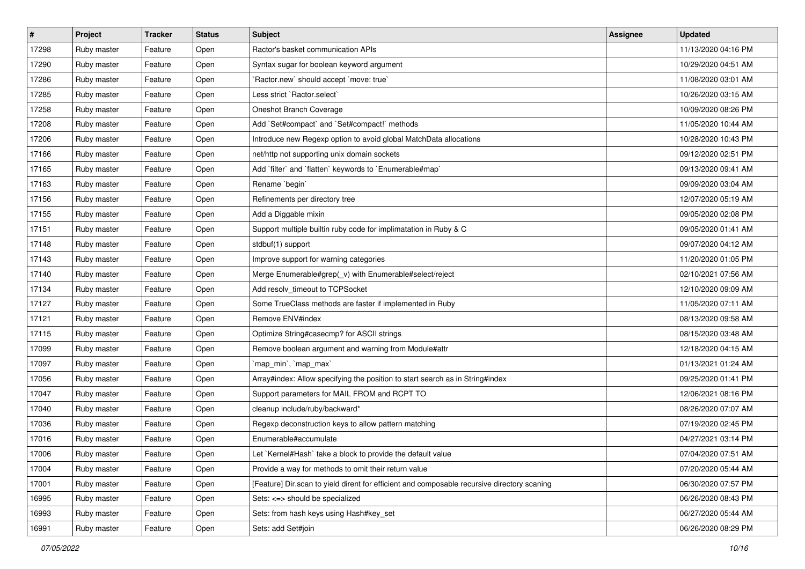| $\pmb{\#}$ | Project     | <b>Tracker</b> | <b>Status</b> | <b>Subject</b>                                                                              | Assignee | <b>Updated</b>      |
|------------|-------------|----------------|---------------|---------------------------------------------------------------------------------------------|----------|---------------------|
| 17298      | Ruby master | Feature        | Open          | Ractor's basket communication APIs                                                          |          | 11/13/2020 04:16 PM |
| 17290      | Ruby master | Feature        | Open          | Syntax sugar for boolean keyword argument                                                   |          | 10/29/2020 04:51 AM |
| 17286      | Ruby master | Feature        | Open          | Ractor.new' should accept 'move: true'                                                      |          | 11/08/2020 03:01 AM |
| 17285      | Ruby master | Feature        | Open          | Less strict `Ractor.select`                                                                 |          | 10/26/2020 03:15 AM |
| 17258      | Ruby master | Feature        | Open          | Oneshot Branch Coverage                                                                     |          | 10/09/2020 08:26 PM |
| 17208      | Ruby master | Feature        | Open          | Add `Set#compact` and `Set#compact!` methods                                                |          | 11/05/2020 10:44 AM |
| 17206      | Ruby master | Feature        | Open          | Introduce new Regexp option to avoid global MatchData allocations                           |          | 10/28/2020 10:43 PM |
| 17166      | Ruby master | Feature        | Open          | net/http not supporting unix domain sockets                                                 |          | 09/12/2020 02:51 PM |
| 17165      | Ruby master | Feature        | Open          | Add 'filter' and 'flatten' keywords to 'Enumerable#map'                                     |          | 09/13/2020 09:41 AM |
| 17163      | Ruby master | Feature        | Open          | Rename `begin`                                                                              |          | 09/09/2020 03:04 AM |
| 17156      | Ruby master | Feature        | Open          | Refinements per directory tree                                                              |          | 12/07/2020 05:19 AM |
| 17155      | Ruby master | Feature        | Open          | Add a Diggable mixin                                                                        |          | 09/05/2020 02:08 PM |
| 17151      | Ruby master | Feature        | Open          | Support multiple builtin ruby code for implimatation in Ruby & C                            |          | 09/05/2020 01:41 AM |
| 17148      | Ruby master | Feature        | Open          | stdbuf(1) support                                                                           |          | 09/07/2020 04:12 AM |
| 17143      | Ruby master | Feature        | Open          | Improve support for warning categories                                                      |          | 11/20/2020 01:05 PM |
| 17140      | Ruby master | Feature        | Open          | Merge Enumerable#grep(_v) with Enumerable#select/reject                                     |          | 02/10/2021 07:56 AM |
| 17134      | Ruby master | Feature        | Open          | Add resolv_timeout to TCPSocket                                                             |          | 12/10/2020 09:09 AM |
| 17127      | Ruby master | Feature        | Open          | Some TrueClass methods are faster if implemented in Ruby                                    |          | 11/05/2020 07:11 AM |
| 17121      | Ruby master | Feature        | Open          | Remove ENV#index                                                                            |          | 08/13/2020 09:58 AM |
| 17115      | Ruby master | Feature        | Open          | Optimize String#casecmp? for ASCII strings                                                  |          | 08/15/2020 03:48 AM |
| 17099      | Ruby master | Feature        | Open          | Remove boolean argument and warning from Module#attr                                        |          | 12/18/2020 04:15 AM |
| 17097      | Ruby master | Feature        | Open          | `map_min`, `map_max`                                                                        |          | 01/13/2021 01:24 AM |
| 17056      | Ruby master | Feature        | Open          | Array#index: Allow specifying the position to start search as in String#index               |          | 09/25/2020 01:41 PM |
| 17047      | Ruby master | Feature        | Open          | Support parameters for MAIL FROM and RCPT TO                                                |          | 12/06/2021 08:16 PM |
| 17040      | Ruby master | Feature        | Open          | cleanup include/ruby/backward*                                                              |          | 08/26/2020 07:07 AM |
| 17036      | Ruby master | Feature        | Open          | Regexp deconstruction keys to allow pattern matching                                        |          | 07/19/2020 02:45 PM |
| 17016      | Ruby master | Feature        | Open          | Enumerable#accumulate                                                                       |          | 04/27/2021 03:14 PM |
| 17006      | Ruby master | Feature        | Open          | et `Kernel#Hash` take a block to provide the default value                                  |          | 07/04/2020 07:51 AM |
| 17004      | Ruby master | Feature        | Open          | Provide a way for methods to omit their return value                                        |          | 07/20/2020 05:44 AM |
| 17001      | Ruby master | Feature        | Open          | [Feature] Dir.scan to yield dirent for efficient and composable recursive directory scaning |          | 06/30/2020 07:57 PM |
| 16995      | Ruby master | Feature        | Open          | Sets: <= > should be specialized                                                            |          | 06/26/2020 08:43 PM |
| 16993      | Ruby master | Feature        | Open          | Sets: from hash keys using Hash#key_set                                                     |          | 06/27/2020 05:44 AM |
| 16991      | Ruby master | Feature        | Open          | Sets: add Set#join                                                                          |          | 06/26/2020 08:29 PM |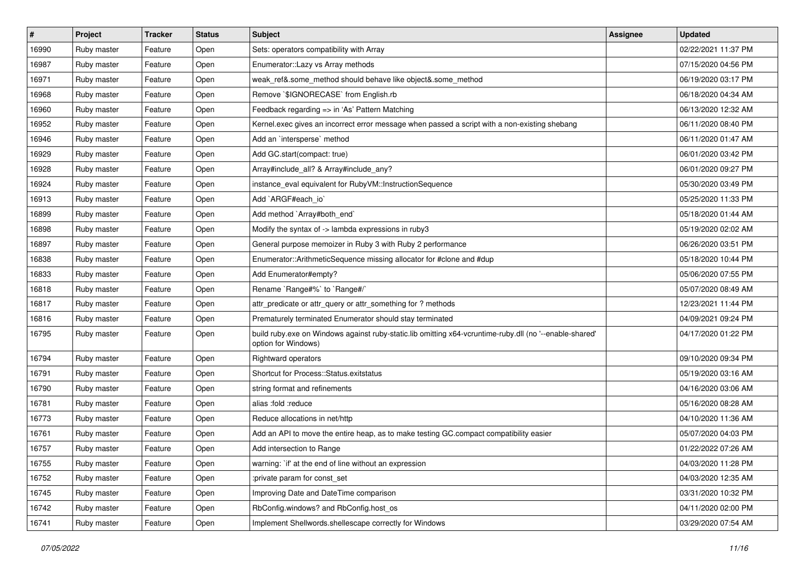| $\vert$ # | Project     | <b>Tracker</b> | <b>Status</b> | Subject                                                                                                                        | <b>Assignee</b> | <b>Updated</b>      |
|-----------|-------------|----------------|---------------|--------------------------------------------------------------------------------------------------------------------------------|-----------------|---------------------|
| 16990     | Ruby master | Feature        | Open          | Sets: operators compatibility with Array                                                                                       |                 | 02/22/2021 11:37 PM |
| 16987     | Ruby master | Feature        | Open          | Enumerator::Lazy vs Array methods                                                                                              |                 | 07/15/2020 04:56 PM |
| 16971     | Ruby master | Feature        | Open          | weak ref&.some method should behave like object&.some method                                                                   |                 | 06/19/2020 03:17 PM |
| 16968     | Ruby master | Feature        | Open          | Remove `\$IGNORECASE` from English.rb                                                                                          |                 | 06/18/2020 04:34 AM |
| 16960     | Ruby master | Feature        | Open          | Feedback regarding => in 'As' Pattern Matching                                                                                 |                 | 06/13/2020 12:32 AM |
| 16952     | Ruby master | Feature        | Open          | Kernel.exec gives an incorrect error message when passed a script with a non-existing shebang                                  |                 | 06/11/2020 08:40 PM |
| 16946     | Ruby master | Feature        | Open          | Add an `intersperse` method                                                                                                    |                 | 06/11/2020 01:47 AM |
| 16929     | Ruby master | Feature        | Open          | Add GC.start(compact: true)                                                                                                    |                 | 06/01/2020 03:42 PM |
| 16928     | Ruby master | Feature        | Open          | Array#include_all? & Array#include_any?                                                                                        |                 | 06/01/2020 09:27 PM |
| 16924     | Ruby master | Feature        | Open          | instance_eval equivalent for RubyVM::InstructionSequence                                                                       |                 | 05/30/2020 03:49 PM |
| 16913     | Ruby master | Feature        | Open          | Add `ARGF#each_io`                                                                                                             |                 | 05/25/2020 11:33 PM |
| 16899     | Ruby master | Feature        | Open          | Add method `Array#both_end`                                                                                                    |                 | 05/18/2020 01:44 AM |
| 16898     | Ruby master | Feature        | Open          | Modify the syntax of -> lambda expressions in ruby3                                                                            |                 | 05/19/2020 02:02 AM |
| 16897     | Ruby master | Feature        | Open          | General purpose memoizer in Ruby 3 with Ruby 2 performance                                                                     |                 | 06/26/2020 03:51 PM |
| 16838     | Ruby master | Feature        | Open          | Enumerator::ArithmeticSequence missing allocator for #clone and #dup                                                           |                 | 05/18/2020 10:44 PM |
| 16833     | Ruby master | Feature        | Open          | Add Enumerator#empty?                                                                                                          |                 | 05/06/2020 07:55 PM |
| 16818     | Ruby master | Feature        | Open          | Rename `Range#%` to `Range#/`                                                                                                  |                 | 05/07/2020 08:49 AM |
| 16817     | Ruby master | Feature        | Open          | attr_predicate or attr_query or attr_something for ? methods                                                                   |                 | 12/23/2021 11:44 PM |
| 16816     | Ruby master | Feature        | Open          | Prematurely terminated Enumerator should stay terminated                                                                       |                 | 04/09/2021 09:24 PM |
| 16795     | Ruby master | Feature        | Open          | build ruby.exe on Windows against ruby-static.lib omitting x64-vcruntime-ruby.dll (no '--enable-shared'<br>option for Windows) |                 | 04/17/2020 01:22 PM |
| 16794     | Ruby master | Feature        | Open          | <b>Rightward operators</b>                                                                                                     |                 | 09/10/2020 09:34 PM |
| 16791     | Ruby master | Feature        | Open          | Shortcut for Process::Status.exitstatus                                                                                        |                 | 05/19/2020 03:16 AM |
| 16790     | Ruby master | Feature        | Open          | string format and refinements                                                                                                  |                 | 04/16/2020 03:06 AM |
| 16781     | Ruby master | Feature        | Open          | alias :fold :reduce                                                                                                            |                 | 05/16/2020 08:28 AM |
| 16773     | Ruby master | Feature        | Open          | Reduce allocations in net/http                                                                                                 |                 | 04/10/2020 11:36 AM |
| 16761     | Ruby master | Feature        | Open          | Add an API to move the entire heap, as to make testing GC.compact compatibility easier                                         |                 | 05/07/2020 04:03 PM |
| 16757     | Ruby master | Feature        | Open          | Add intersection to Range                                                                                                      |                 | 01/22/2022 07:26 AM |
| 16755     | Ruby master | Feature        | Open          | warning: `if' at the end of line without an expression                                                                         |                 | 04/03/2020 11:28 PM |
| 16752     | Ruby master | Feature        | Open          | :private param for const set                                                                                                   |                 | 04/03/2020 12:35 AM |
| 16745     | Ruby master | Feature        | Open          | Improving Date and DateTime comparison                                                                                         |                 | 03/31/2020 10:32 PM |
| 16742     | Ruby master | Feature        | Open          | RbConfig.windows? and RbConfig.host os                                                                                         |                 | 04/11/2020 02:00 PM |
| 16741     | Ruby master | Feature        | Open          | Implement Shellwords.shellescape correctly for Windows                                                                         |                 | 03/29/2020 07:54 AM |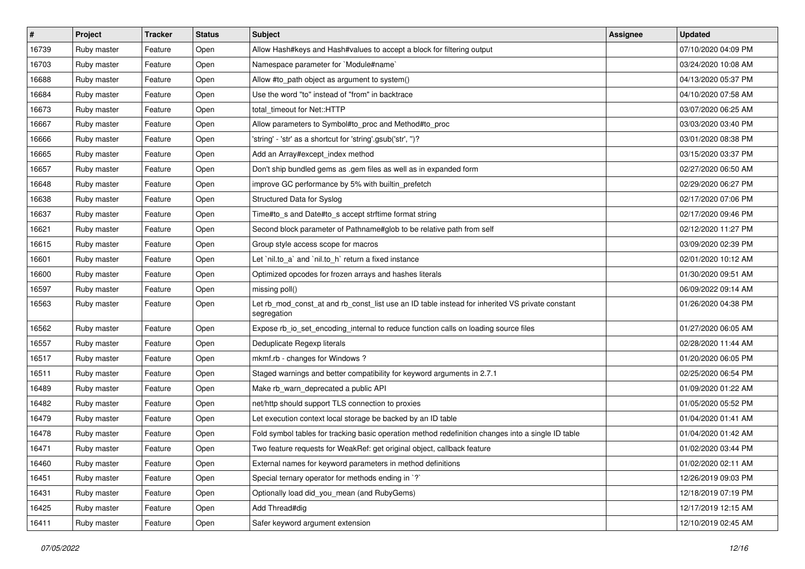| $\vert$ # | Project     | <b>Tracker</b> | <b>Status</b> | <b>Subject</b>                                                                                                 | Assignee | <b>Updated</b>      |
|-----------|-------------|----------------|---------------|----------------------------------------------------------------------------------------------------------------|----------|---------------------|
| 16739     | Ruby master | Feature        | Open          | Allow Hash#keys and Hash#values to accept a block for filtering output                                         |          | 07/10/2020 04:09 PM |
| 16703     | Ruby master | Feature        | Open          | Namespace parameter for `Module#name`                                                                          |          | 03/24/2020 10:08 AM |
| 16688     | Ruby master | Feature        | Open          | Allow #to_path object as argument to system()                                                                  |          | 04/13/2020 05:37 PM |
| 16684     | Ruby master | Feature        | Open          | Use the word "to" instead of "from" in backtrace                                                               |          | 04/10/2020 07:58 AM |
| 16673     | Ruby master | Feature        | Open          | total timeout for Net::HTTP                                                                                    |          | 03/07/2020 06:25 AM |
| 16667     | Ruby master | Feature        | Open          | Allow parameters to Symbol#to_proc and Method#to_proc                                                          |          | 03/03/2020 03:40 PM |
| 16666     | Ruby master | Feature        | Open          | 'string' - 'str' as a shortcut for 'string'.gsub('str', ")?                                                    |          | 03/01/2020 08:38 PM |
| 16665     | Ruby master | Feature        | Open          | Add an Array#except index method                                                                               |          | 03/15/2020 03:37 PM |
| 16657     | Ruby master | Feature        | Open          | Don't ship bundled gems as .gem files as well as in expanded form                                              |          | 02/27/2020 06:50 AM |
| 16648     | Ruby master | Feature        | Open          | improve GC performance by 5% with builtin_prefetch                                                             |          | 02/29/2020 06:27 PM |
| 16638     | Ruby master | Feature        | Open          | Structured Data for Syslog                                                                                     |          | 02/17/2020 07:06 PM |
| 16637     | Ruby master | Feature        | Open          | Time#to_s and Date#to_s accept strftime format string                                                          |          | 02/17/2020 09:46 PM |
| 16621     | Ruby master | Feature        | Open          | Second block parameter of Pathname#glob to be relative path from self                                          |          | 02/12/2020 11:27 PM |
| 16615     | Ruby master | Feature        | Open          | Group style access scope for macros                                                                            |          | 03/09/2020 02:39 PM |
| 16601     | Ruby master | Feature        | Open          | Let `nil.to_a` and `nil.to_h` return a fixed instance                                                          |          | 02/01/2020 10:12 AM |
| 16600     | Ruby master | Feature        | Open          | Optimized opcodes for frozen arrays and hashes literals                                                        |          | 01/30/2020 09:51 AM |
| 16597     | Ruby master | Feature        | Open          | missing poll()                                                                                                 |          | 06/09/2022 09:14 AM |
| 16563     | Ruby master | Feature        | Open          | Let rb_mod_const_at and rb_const_list use an ID table instead for inherited VS private constant<br>segregation |          | 01/26/2020 04:38 PM |
| 16562     | Ruby master | Feature        | Open          | Expose rb_io_set_encoding_internal to reduce function calls on loading source files                            |          | 01/27/2020 06:05 AM |
| 16557     | Ruby master | Feature        | Open          | Deduplicate Regexp literals                                                                                    |          | 02/28/2020 11:44 AM |
| 16517     | Ruby master | Feature        | Open          | mkmf.rb - changes for Windows?                                                                                 |          | 01/20/2020 06:05 PM |
| 16511     | Ruby master | Feature        | Open          | Staged warnings and better compatibility for keyword arguments in 2.7.1                                        |          | 02/25/2020 06:54 PM |
| 16489     | Ruby master | Feature        | Open          | Make rb_warn_deprecated a public API                                                                           |          | 01/09/2020 01:22 AM |
| 16482     | Ruby master | Feature        | Open          | net/http should support TLS connection to proxies                                                              |          | 01/05/2020 05:52 PM |
| 16479     | Ruby master | Feature        | Open          | Let execution context local storage be backed by an ID table                                                   |          | 01/04/2020 01:41 AM |
| 16478     | Ruby master | Feature        | Open          | Fold symbol tables for tracking basic operation method redefinition changes into a single ID table             |          | 01/04/2020 01:42 AM |
| 16471     | Ruby master | Feature        | Open          | Two feature requests for WeakRef: get original object, callback feature                                        |          | 01/02/2020 03:44 PM |
| 16460     | Ruby master | Feature        | Open          | External names for keyword parameters in method definitions                                                    |          | 01/02/2020 02:11 AM |
| 16451     | Ruby master | Feature        | Open          | Special ternary operator for methods ending in `?`                                                             |          | 12/26/2019 09:03 PM |
| 16431     | Ruby master | Feature        | Open          | Optionally load did you mean (and RubyGems)                                                                    |          | 12/18/2019 07:19 PM |
| 16425     | Ruby master | Feature        | Open          | Add Thread#dig                                                                                                 |          | 12/17/2019 12:15 AM |
| 16411     | Ruby master | Feature        | Open          | Safer keyword argument extension                                                                               |          | 12/10/2019 02:45 AM |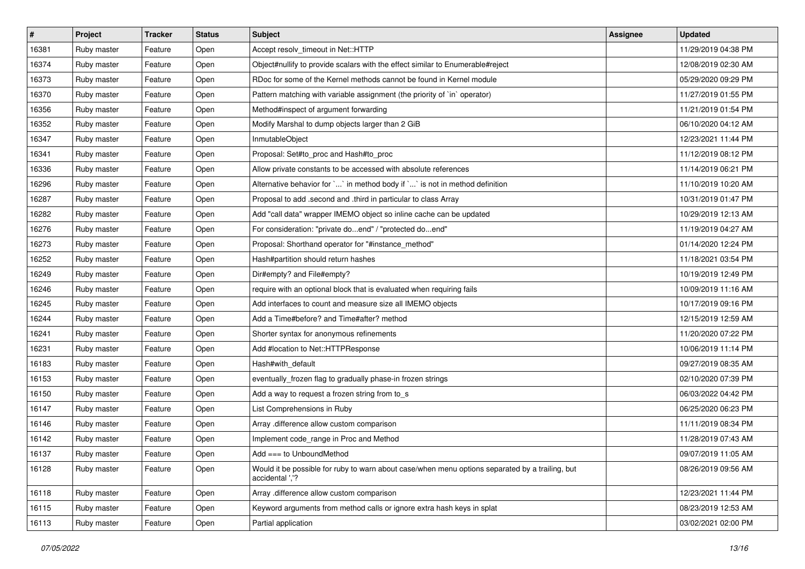| $\sharp$ | <b>Project</b> | <b>Tracker</b> | <b>Status</b> | Subject                                                                                                            | <b>Assignee</b> | <b>Updated</b>      |
|----------|----------------|----------------|---------------|--------------------------------------------------------------------------------------------------------------------|-----------------|---------------------|
| 16381    | Ruby master    | Feature        | Open          | Accept resolv timeout in Net::HTTP                                                                                 |                 | 11/29/2019 04:38 PM |
| 16374    | Ruby master    | Feature        | Open          | Object#nullify to provide scalars with the effect similar to Enumerable#reject                                     |                 | 12/08/2019 02:30 AM |
| 16373    | Ruby master    | Feature        | Open          | RDoc for some of the Kernel methods cannot be found in Kernel module                                               |                 | 05/29/2020 09:29 PM |
| 16370    | Ruby master    | Feature        | Open          | Pattern matching with variable assignment (the priority of `in` operator)                                          |                 | 11/27/2019 01:55 PM |
| 16356    | Ruby master    | Feature        | Open          | Method#inspect of argument forwarding                                                                              |                 | 11/21/2019 01:54 PM |
| 16352    | Ruby master    | Feature        | Open          | Modify Marshal to dump objects larger than 2 GiB                                                                   |                 | 06/10/2020 04:12 AM |
| 16347    | Ruby master    | Feature        | Open          | InmutableObject                                                                                                    |                 | 12/23/2021 11:44 PM |
| 16341    | Ruby master    | Feature        | Open          | Proposal: Set#to_proc and Hash#to_proc                                                                             |                 | 11/12/2019 08:12 PM |
| 16336    | Ruby master    | Feature        | Open          | Allow private constants to be accessed with absolute references                                                    |                 | 11/14/2019 06:21 PM |
| 16296    | Ruby master    | Feature        | Open          | Alternative behavior for `` in method body if `` is not in method definition                                       |                 | 11/10/2019 10:20 AM |
| 16287    | Ruby master    | Feature        | Open          | Proposal to add .second and .third in particular to class Array                                                    |                 | 10/31/2019 01:47 PM |
| 16282    | Ruby master    | Feature        | Open          | Add "call data" wrapper IMEMO object so inline cache can be updated                                                |                 | 10/29/2019 12:13 AM |
| 16276    | Ruby master    | Feature        | Open          | For consideration: "private doend" / "protected doend"                                                             |                 | 11/19/2019 04:27 AM |
| 16273    | Ruby master    | Feature        | Open          | Proposal: Shorthand operator for "#instance_method"                                                                |                 | 01/14/2020 12:24 PM |
| 16252    | Ruby master    | Feature        | Open          | Hash#partition should return hashes                                                                                |                 | 11/18/2021 03:54 PM |
| 16249    | Ruby master    | Feature        | Open          | Dir#empty? and File#empty?                                                                                         |                 | 10/19/2019 12:49 PM |
| 16246    | Ruby master    | Feature        | Open          | require with an optional block that is evaluated when requiring fails                                              |                 | 10/09/2019 11:16 AM |
| 16245    | Ruby master    | Feature        | Open          | Add interfaces to count and measure size all IMEMO objects                                                         |                 | 10/17/2019 09:16 PM |
| 16244    | Ruby master    | Feature        | Open          | Add a Time#before? and Time#after? method                                                                          |                 | 12/15/2019 12:59 AM |
| 16241    | Ruby master    | Feature        | Open          | Shorter syntax for anonymous refinements                                                                           |                 | 11/20/2020 07:22 PM |
| 16231    | Ruby master    | Feature        | Open          | Add #location to Net::HTTPResponse                                                                                 |                 | 10/06/2019 11:14 PM |
| 16183    | Ruby master    | Feature        | Open          | Hash#with default                                                                                                  |                 | 09/27/2019 08:35 AM |
| 16153    | Ruby master    | Feature        | Open          | eventually_frozen flag to gradually phase-in frozen strings                                                        |                 | 02/10/2020 07:39 PM |
| 16150    | Ruby master    | Feature        | Open          | Add a way to request a frozen string from to_s                                                                     |                 | 06/03/2022 04:42 PM |
| 16147    | Ruby master    | Feature        | Open          | List Comprehensions in Ruby                                                                                        |                 | 06/25/2020 06:23 PM |
| 16146    | Ruby master    | Feature        | Open          | Array .difference allow custom comparison                                                                          |                 | 11/11/2019 08:34 PM |
| 16142    | Ruby master    | Feature        | Open          | Implement code_range in Proc and Method                                                                            |                 | 11/28/2019 07:43 AM |
| 16137    | Ruby master    | Feature        | Open          | $Add == to UnboundMethod$                                                                                          |                 | 09/07/2019 11:05 AM |
| 16128    | Ruby master    | Feature        | Open          | Would it be possible for ruby to warn about case/when menu options separated by a trailing, but<br>accidental ','? |                 | 08/26/2019 09:56 AM |
| 16118    | Ruby master    | Feature        | Open          | Array .difference allow custom comparison                                                                          |                 | 12/23/2021 11:44 PM |
| 16115    | Ruby master    | Feature        | Open          | Keyword arguments from method calls or ignore extra hash keys in splat                                             |                 | 08/23/2019 12:53 AM |
| 16113    | Ruby master    | Feature        | Open          | Partial application                                                                                                |                 | 03/02/2021 02:00 PM |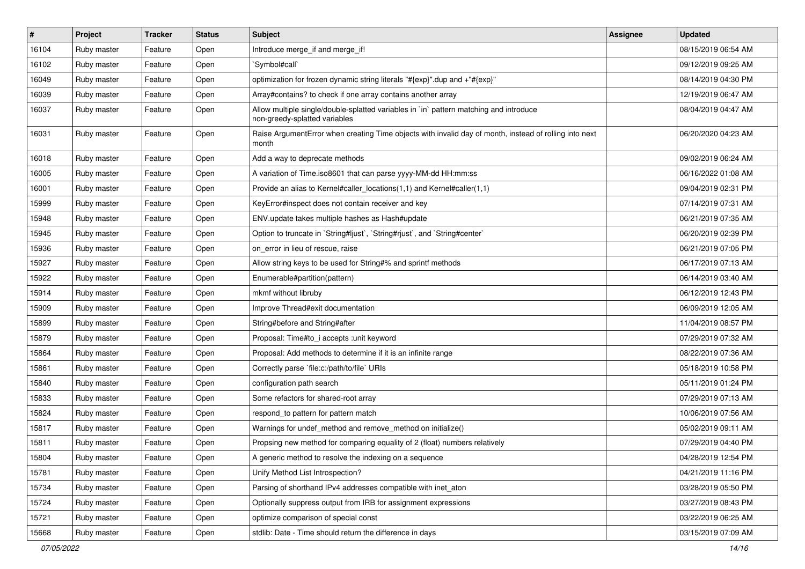| $\sharp$ | <b>Project</b> | <b>Tracker</b> | <b>Status</b> | Subject                                                                                                                 | <b>Assignee</b> | <b>Updated</b>      |
|----------|----------------|----------------|---------------|-------------------------------------------------------------------------------------------------------------------------|-----------------|---------------------|
| 16104    | Ruby master    | Feature        | Open          | Introduce merge_if and merge_if!                                                                                        |                 | 08/15/2019 06:54 AM |
| 16102    | Ruby master    | Feature        | Open          | `Symbol#call`                                                                                                           |                 | 09/12/2019 09:25 AM |
| 16049    | Ruby master    | Feature        | Open          | optimization for frozen dynamic string literals "#{exp}".dup and +"#{exp}"                                              |                 | 08/14/2019 04:30 PM |
| 16039    | Ruby master    | Feature        | Open          | Array#contains? to check if one array contains another array                                                            |                 | 12/19/2019 06:47 AM |
| 16037    | Ruby master    | Feature        | Open          | Allow multiple single/double-splatted variables in `in` pattern matching and introduce<br>non-greedy-splatted variables |                 | 08/04/2019 04:47 AM |
| 16031    | Ruby master    | Feature        | Open          | Raise ArgumentError when creating Time objects with invalid day of month, instead of rolling into next<br>month         |                 | 06/20/2020 04:23 AM |
| 16018    | Ruby master    | Feature        | Open          | Add a way to deprecate methods                                                                                          |                 | 09/02/2019 06:24 AM |
| 16005    | Ruby master    | Feature        | Open          | A variation of Time.iso8601 that can parse yyyy-MM-dd HH:mm:ss                                                          |                 | 06/16/2022 01:08 AM |
| 16001    | Ruby master    | Feature        | Open          | Provide an alias to Kernel#caller_locations(1,1) and Kernel#caller(1,1)                                                 |                 | 09/04/2019 02:31 PM |
| 15999    | Ruby master    | Feature        | Open          | KeyError#inspect does not contain receiver and key                                                                      |                 | 07/14/2019 07:31 AM |
| 15948    | Ruby master    | Feature        | Open          | ENV.update takes multiple hashes as Hash#update                                                                         |                 | 06/21/2019 07:35 AM |
| 15945    | Ruby master    | Feature        | Open          | Option to truncate in `String#ljust`, `String#rjust`, and `String#center`                                               |                 | 06/20/2019 02:39 PM |
| 15936    | Ruby master    | Feature        | Open          | on_error in lieu of rescue, raise                                                                                       |                 | 06/21/2019 07:05 PM |
| 15927    | Ruby master    | Feature        | Open          | Allow string keys to be used for String#% and sprintf methods                                                           |                 | 06/17/2019 07:13 AM |
| 15922    | Ruby master    | Feature        | Open          | Enumerable#partition(pattern)                                                                                           |                 | 06/14/2019 03:40 AM |
| 15914    | Ruby master    | Feature        | Open          | mkmf without libruby                                                                                                    |                 | 06/12/2019 12:43 PM |
| 15909    | Ruby master    | Feature        | Open          | Improve Thread#exit documentation                                                                                       |                 | 06/09/2019 12:05 AM |
| 15899    | Ruby master    | Feature        | Open          | String#before and String#after                                                                                          |                 | 11/04/2019 08:57 PM |
| 15879    | Ruby master    | Feature        | Open          | Proposal: Time#to i accepts : unit keyword                                                                              |                 | 07/29/2019 07:32 AM |
| 15864    | Ruby master    | Feature        | Open          | Proposal: Add methods to determine if it is an infinite range                                                           |                 | 08/22/2019 07:36 AM |
| 15861    | Ruby master    | Feature        | Open          | Correctly parse `file:c:/path/to/file` URIs                                                                             |                 | 05/18/2019 10:58 PM |
| 15840    | Ruby master    | Feature        | Open          | configuration path search                                                                                               |                 | 05/11/2019 01:24 PM |
| 15833    | Ruby master    | Feature        | Open          | Some refactors for shared-root array                                                                                    |                 | 07/29/2019 07:13 AM |
| 15824    | Ruby master    | Feature        | Open          | respond_to pattern for pattern match                                                                                    |                 | 10/06/2019 07:56 AM |
| 15817    | Ruby master    | Feature        | Open          | Warnings for undef_method and remove_method on initialize()                                                             |                 | 05/02/2019 09:11 AM |
| 15811    | Ruby master    | Feature        | Open          | Propsing new method for comparing equality of 2 (float) numbers relatively                                              |                 | 07/29/2019 04:40 PM |
| 15804    | Ruby master    | Feature        | Open          | A generic method to resolve the indexing on a sequence                                                                  |                 | 04/28/2019 12:54 PM |
| 15781    | Ruby master    | Feature        | Open          | Unify Method List Introspection?                                                                                        |                 | 04/21/2019 11:16 PM |
| 15734    | Ruby master    | Feature        | Open          | Parsing of shorthand IPv4 addresses compatible with inet_aton                                                           |                 | 03/28/2019 05:50 PM |
| 15724    | Ruby master    | Feature        | Open          | Optionally suppress output from IRB for assignment expressions                                                          |                 | 03/27/2019 08:43 PM |
| 15721    | Ruby master    | Feature        | Open          | optimize comparison of special const                                                                                    |                 | 03/22/2019 06:25 AM |
| 15668    | Ruby master    | Feature        | Open          | stdlib: Date - Time should return the difference in days                                                                |                 | 03/15/2019 07:09 AM |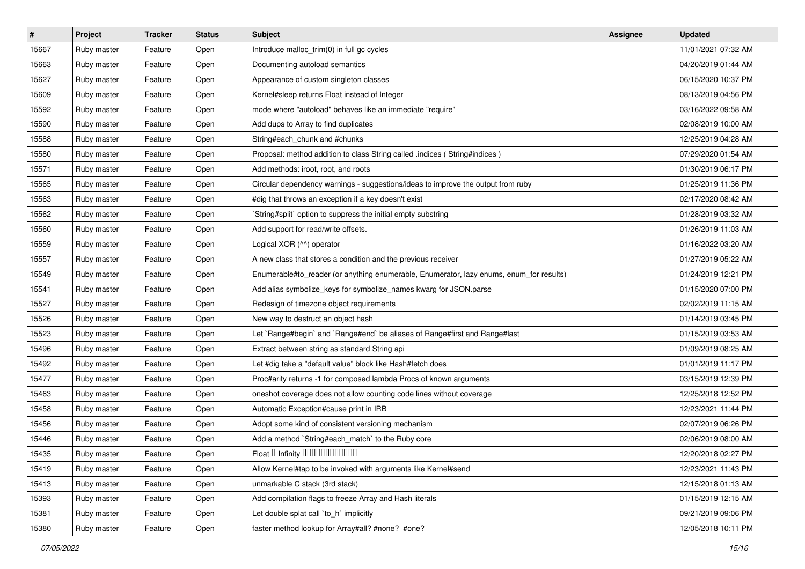| $\vert$ # | Project     | <b>Tracker</b> | <b>Status</b> | Subject                                                                                 | <b>Assignee</b> | <b>Updated</b>      |
|-----------|-------------|----------------|---------------|-----------------------------------------------------------------------------------------|-----------------|---------------------|
| 15667     | Ruby master | Feature        | Open          | Introduce malloc_trim(0) in full gc cycles                                              |                 | 11/01/2021 07:32 AM |
| 15663     | Ruby master | Feature        | Open          | Documenting autoload semantics                                                          |                 | 04/20/2019 01:44 AM |
| 15627     | Ruby master | Feature        | Open          | Appearance of custom singleton classes                                                  |                 | 06/15/2020 10:37 PM |
| 15609     | Ruby master | Feature        | Open          | Kernel#sleep returns Float instead of Integer                                           |                 | 08/13/2019 04:56 PM |
| 15592     | Ruby master | Feature        | Open          | mode where "autoload" behaves like an immediate "require"                               |                 | 03/16/2022 09:58 AM |
| 15590     | Ruby master | Feature        | Open          | Add dups to Array to find duplicates                                                    |                 | 02/08/2019 10:00 AM |
| 15588     | Ruby master | Feature        | Open          | String#each_chunk and #chunks                                                           |                 | 12/25/2019 04:28 AM |
| 15580     | Ruby master | Feature        | Open          | Proposal: method addition to class String called .indices (String#indices)              |                 | 07/29/2020 01:54 AM |
| 15571     | Ruby master | Feature        | Open          | Add methods: iroot, root, and roots                                                     |                 | 01/30/2019 06:17 PM |
| 15565     | Ruby master | Feature        | Open          | Circular dependency warnings - suggestions/ideas to improve the output from ruby        |                 | 01/25/2019 11:36 PM |
| 15563     | Ruby master | Feature        | Open          | #dig that throws an exception if a key doesn't exist                                    |                 | 02/17/2020 08:42 AM |
| 15562     | Ruby master | Feature        | Open          | String#split` option to suppress the initial empty substring                            |                 | 01/28/2019 03:32 AM |
| 15560     | Ruby master | Feature        | Open          | Add support for read/write offsets.                                                     |                 | 01/26/2019 11:03 AM |
| 15559     | Ruby master | Feature        | Open          | Logical XOR (^^) operator                                                               |                 | 01/16/2022 03:20 AM |
| 15557     | Ruby master | Feature        | Open          | A new class that stores a condition and the previous receiver                           |                 | 01/27/2019 05:22 AM |
| 15549     | Ruby master | Feature        | Open          | Enumerable#to_reader (or anything enumerable, Enumerator, lazy enums, enum_for results) |                 | 01/24/2019 12:21 PM |
| 15541     | Ruby master | Feature        | Open          | Add alias symbolize_keys for symbolize_names kwarg for JSON.parse                       |                 | 01/15/2020 07:00 PM |
| 15527     | Ruby master | Feature        | Open          | Redesign of timezone object requirements                                                |                 | 02/02/2019 11:15 AM |
| 15526     | Ruby master | Feature        | Open          | New way to destruct an object hash                                                      |                 | 01/14/2019 03:45 PM |
| 15523     | Ruby master | Feature        | Open          | Let `Range#begin` and `Range#end` be aliases of Range#first and Range#last              |                 | 01/15/2019 03:53 AM |
| 15496     | Ruby master | Feature        | Open          | Extract between string as standard String api                                           |                 | 01/09/2019 08:25 AM |
| 15492     | Ruby master | Feature        | Open          | Let #dig take a "default value" block like Hash#fetch does                              |                 | 01/01/2019 11:17 PM |
| 15477     | Ruby master | Feature        | Open          | Proc#arity returns -1 for composed lambda Procs of known arguments                      |                 | 03/15/2019 12:39 PM |
| 15463     | Ruby master | Feature        | Open          | oneshot coverage does not allow counting code lines without coverage                    |                 | 12/25/2018 12:52 PM |
| 15458     | Ruby master | Feature        | Open          | Automatic Exception#cause print in IRB                                                  |                 | 12/23/2021 11:44 PM |
| 15456     | Ruby master | Feature        | Open          | Adopt some kind of consistent versioning mechanism                                      |                 | 02/07/2019 06:26 PM |
| 15446     | Ruby master | Feature        | Open          | Add a method `String#each_match` to the Ruby core                                       |                 | 02/06/2019 08:00 AM |
| 15435     | Ruby master | Feature        | Open          | Float D Infinity 000000000000                                                           |                 | 12/20/2018 02:27 PM |
| 15419     | Ruby master | Feature        | Open          | Allow Kernel#tap to be invoked with arguments like Kernel#send                          |                 | 12/23/2021 11:43 PM |
| 15413     | Ruby master | Feature        | Open          | unmarkable C stack (3rd stack)                                                          |                 | 12/15/2018 01:13 AM |
| 15393     | Ruby master | Feature        | Open          | Add compilation flags to freeze Array and Hash literals                                 |                 | 01/15/2019 12:15 AM |
| 15381     | Ruby master | Feature        | Open          | Let double splat call `to_h` implicitly                                                 |                 | 09/21/2019 09:06 PM |
| 15380     | Ruby master | Feature        | Open          | faster method lookup for Array#all? #none? #one?                                        |                 | 12/05/2018 10:11 PM |